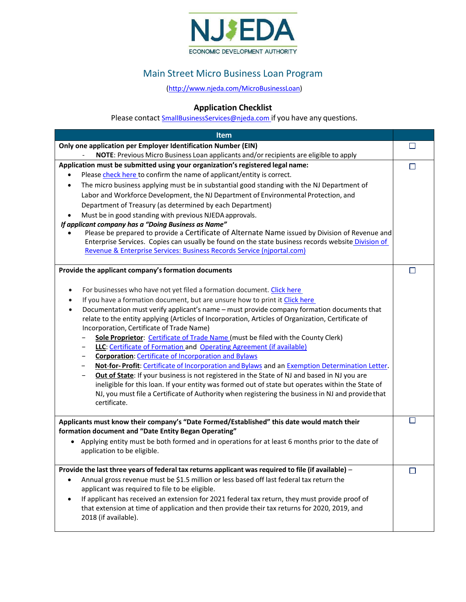

## Main Street Micro Business Loan Program

[\(http://www.njeda.com/MicroBusinessLoan\)](http://www.njeda.com/MicroBusinessLoan)

## **Application Checklist**

Please contact **SmallBusinessServices@njeda.com** if you have any questions.

| <b>Item</b>                                                                                                 |   |
|-------------------------------------------------------------------------------------------------------------|---|
| Only one application per Employer Identification Number (EIN)                                               |   |
| NOTE: Previous Micro Business Loan applicants and/or recipients are eligible to apply                       |   |
| Application must be submitted using your organization's registered legal name:                              | U |
| Please check here to confirm the name of applicant/entity is correct.<br>$\bullet$                          |   |
| The micro business applying must be in substantial good standing with the NJ Department of<br>$\bullet$     |   |
| Labor and Workforce Development, the NJ Department of Environmental Protection, and                         |   |
| Department of Treasury (as determined by each Department)                                                   |   |
| Must be in good standing with previous NJEDA approvals.                                                     |   |
| If applicant company has a "Doing Business as Name"                                                         |   |
| Please be prepared to provide a Certificate of Alternate Name issued by Division of Revenue and             |   |
| Enterprise Services. Copies can usually be found on the state business records website Division of          |   |
| Revenue & Enterprise Services: Business Records Service (njportal.com)                                      |   |
| Provide the applicant company's formation documents                                                         | П |
| For businesses who have not yet filed a formation document. Click here<br>$\bullet$                         |   |
| If you have a formation document, but are unsure how to print it Click here<br>$\bullet$                    |   |
| Documentation must verify applicant's name - must provide company formation documents that<br>$\bullet$     |   |
| relate to the entity applying (Articles of Incorporation, Articles of Organization, Certificate of          |   |
| Incorporation, Certificate of Trade Name)                                                                   |   |
| Sole Proprietor: Certificate of Trade Name (must be filed with the County Clerk)                            |   |
| LLC: Certificate of Formation and Operating Agreement (if available)                                        |   |
| <b>Corporation: Certificate of Incorporation and Bylaws</b>                                                 |   |
| Not-for-Profit: Certificate of Incorporation and Bylaws and an Exemption Determination Letter.              |   |
| Out of State: If your business is not registered in the State of NJ and based in NJ you are                 |   |
| ineligible for this loan. If your entity was formed out of state but operates within the State of           |   |
| NJ, you must file a Certificate of Authority when registering the business in NJ and provide that           |   |
| certificate.                                                                                                |   |
| Applicants must know their company's "Date Formed/Established" this date would match their                  |   |
| formation document and "Date Entity Began Operating"                                                        |   |
| • Applying entity must be both formed and in operations for at least 6 months prior to the date of          |   |
| application to be eligible.                                                                                 |   |
| Provide the last three years of federal tax returns applicant was required to file (if available) -         | П |
| Annual gross revenue must be \$1.5 million or less based off last federal tax return the<br>$\bullet$       |   |
| applicant was required to file to be eligible.                                                              |   |
| If applicant has received an extension for 2021 federal tax return, they must provide proof of<br>$\bullet$ |   |
| that extension at time of application and then provide their tax returns for 2020, 2019, and                |   |
| 2018 (if available).                                                                                        |   |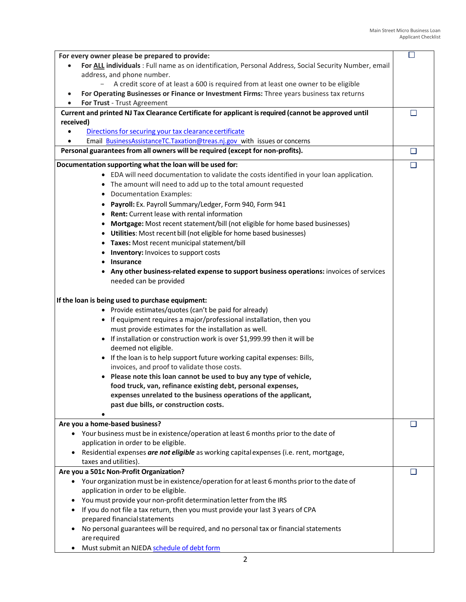| For every owner please be prepared to provide:                                                           | □      |
|----------------------------------------------------------------------------------------------------------|--------|
| For ALL individuals : Full name as on identification, Personal Address, Social Security Number, email    |        |
| address, and phone number.                                                                               |        |
| A credit score of at least a 600 is required from at least one owner to be eligible<br>$\qquad \qquad -$ |        |
| For Operating Businesses or Finance or Investment Firms: Three years business tax returns<br>$\bullet$   |        |
| For Trust - Trust Agreement                                                                              |        |
| Current and printed NJ Tax Clearance Certificate for applicant is required (cannot be approved until     |        |
| received)                                                                                                |        |
| Directions for securing your tax clearance certificate                                                   |        |
| Email BusinessAssistanceTC.Taxation@treas.nj.gov with issues or concerns                                 |        |
| Personal guarantees from all owners will be required (except for non-profits).                           | $\Box$ |
| Documentation supporting what the loan will be used for:                                                 | $\Box$ |
|                                                                                                          |        |
| • EDA will need documentation to validate the costs identified in your loan application.                 |        |
| • The amount will need to add up to the total amount requested                                           |        |
| • Documentation Examples:                                                                                |        |
| Payroll: Ex. Payroll Summary/Ledger, Form 940, Form 941<br>٠                                             |        |
| <b>Rent:</b> Current lease with rental information                                                       |        |
| Mortgage: Most recent statement/bill (not eligible for home based businesses)<br>٠                       |        |
| Utilities: Most recent bill (not eligible for home based businesses)<br>$\bullet$                        |        |
| • Taxes: Most recent municipal statement/bill                                                            |        |
| • Inventory: Invoices to support costs                                                                   |        |
| • Insurance                                                                                              |        |
| Any other business-related expense to support business operations: invoices of services                  |        |
|                                                                                                          |        |
| needed can be provided                                                                                   |        |
|                                                                                                          |        |
| If the loan is being used to purchase equipment:                                                         |        |
| • Provide estimates/quotes (can't be paid for already)                                                   |        |
| • If equipment requires a major/professional installation, then you                                      |        |
| must provide estimates for the installation as well.                                                     |        |
| • If installation or construction work is over \$1,999.99 then it will be                                |        |
| deemed not eligible.                                                                                     |        |
| • If the loan is to help support future working capital expenses: Bills,                                 |        |
| invoices, and proof to validate those costs.                                                             |        |
| Please note this loan cannot be used to buy any type of vehicle,                                         |        |
| food truck, van, refinance existing debt, personal expenses,                                             |        |
| expenses unrelated to the business operations of the applicant,                                          |        |
| past due bills, or construction costs.                                                                   |        |
|                                                                                                          |        |
| Are you a home-based business?                                                                           | ப      |
| Your business must be in existence/operation at least 6 months prior to the date of<br>$\bullet$         |        |
| application in order to be eligible.                                                                     |        |
| Residential expenses are not eligible as working capital expenses (i.e. rent, mortgage,<br>$\bullet$     |        |
| taxes and utilities).                                                                                    |        |
| Are you a 501c Non-Profit Organization?                                                                  | П      |
| Your organization must be in existence/operation for at least 6 months prior to the date of              |        |
| application in order to be eligible.                                                                     |        |
| You must provide your non-profit determination letter from the IRS<br>٠                                  |        |
| If you do not file a tax return, then you must provide your last 3 years of CPA                          |        |
| prepared financial statements                                                                            |        |
| No personal guarantees will be required, and no personal tax or financial statements                     |        |
| are required                                                                                             |        |
| Must submit an NJEDA schedule of debt form<br>٠                                                          |        |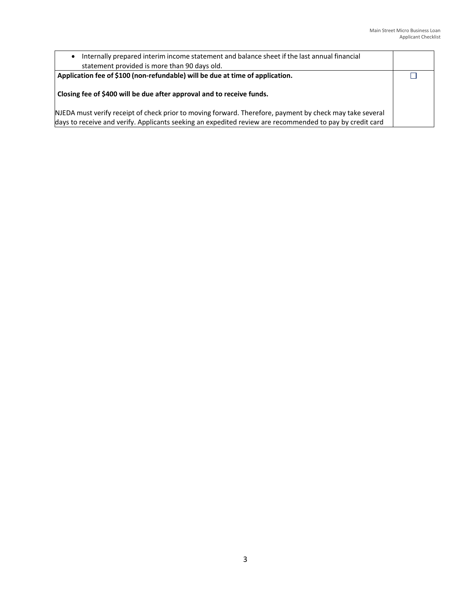| Internally prepared interim income statement and balance sheet if the last annual financial                                                                                                                          |  |
|----------------------------------------------------------------------------------------------------------------------------------------------------------------------------------------------------------------------|--|
| statement provided is more than 90 days old.                                                                                                                                                                         |  |
| Application fee of \$100 (non-refundable) will be due at time of application.                                                                                                                                        |  |
| Closing fee of \$400 will be due after approval and to receive funds.                                                                                                                                                |  |
| NJEDA must verify receipt of check prior to moving forward. Therefore, payment by check may take several<br>days to receive and verify. Applicants seeking an expedited review are recommended to pay by credit card |  |
|                                                                                                                                                                                                                      |  |